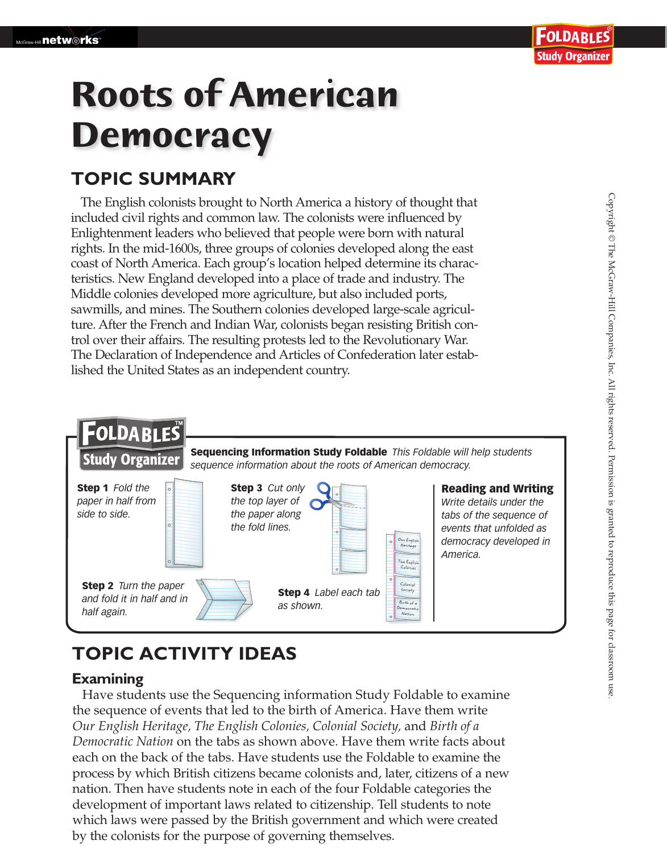# **Roots of American Democracy**

### **TOPIC SUMMARY**

The English colonists brought to North America a history of thought that included civil rights and common law. The colonists were influenced by Enlightenment leaders who believed that people were born with natural rights. In the mid-1600s, three groups of colonies developed along the east coast of North America. Each group's location helped determine its characteristics. New England developed into a place of trade and industry. The Middle colonies developed more agriculture, but also included ports, sawmills, and mines. The Southern colonies developed large-scale agriculture. After the French and Indian War, colonists began resisting British control over their affairs. The resulting protests led to the Revolutionary War. The Declaration of Independence and Articles of Confederation later established the United States as an independent country.



## **TOPIC ACTIVITY IDEAS**

#### **Examining**

 Have students use the Sequencing information Study Foldable to examine the sequence of events that led to the birth of America. Have them write *Our English Heritage, The English Colonies, Colonial Society,* and *Birth of a Democratic Nation* on the tabs as shown above. Have them write facts about each on the back of the tabs. Have students use the Foldable to examine the process by which British citizens became colonists and, later, citizens of a new nation. Then have students note in each of the four Foldable categories the development of important laws related to citizenship. Tell students to note which laws were passed by the British government and which were created by the colonists for the purpose of governing themselves.